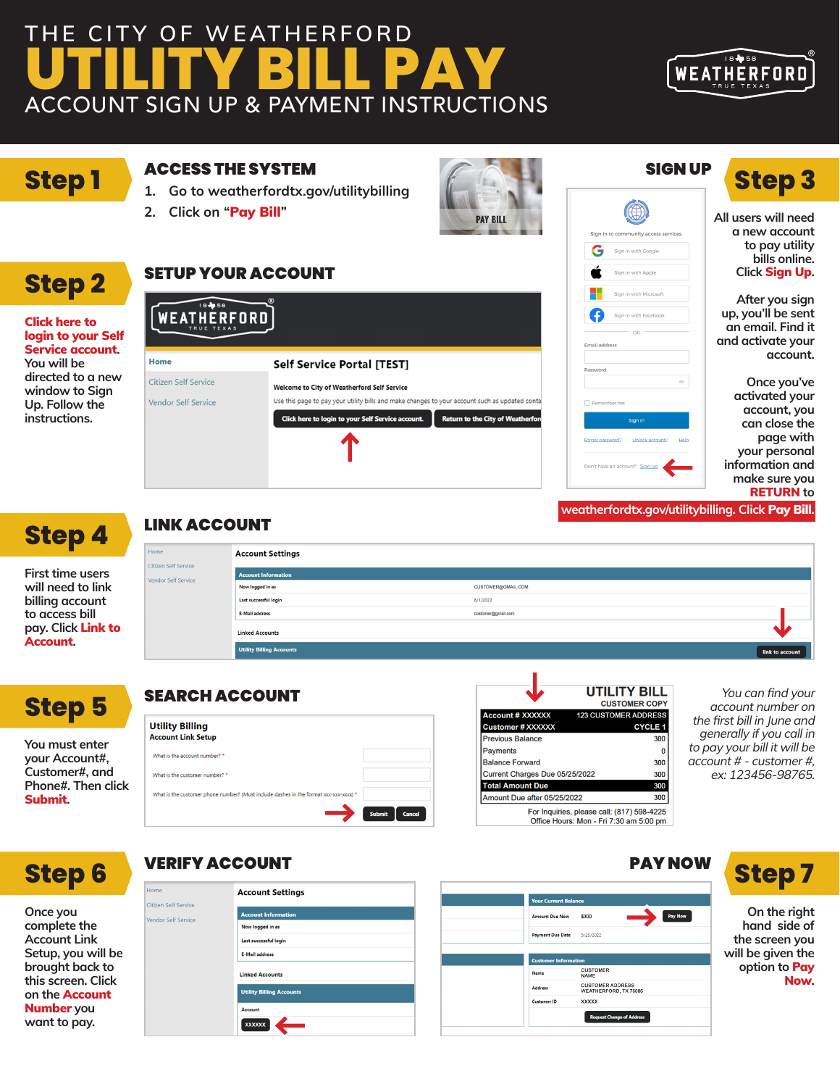# **THE CITY OF WEATHERFORD UTILITY BILL PAY** ACCOUNT SIGN UP & PAYMENT INSTRUCTIONS



# **Step 1**

**Step 2**

Click here to login to your Self Service account**. You will be directed to a new window to Sign Up. Follow the instructions.**

#### ACCESS THE SYSTEM

SETUP YOUR ACCOUNT

**1. Go to weatherfordtx.gov/utilitybilling**

**Self Service Portal [TEST]** 

Welcome to City of Weatherford Self Service

Click here to login to your Self Service account.

Use this page to pay your utility bills and make changes to your account such as updated conta

**2. Click on "Pay Bill" PAY BILL PAY BILL PAY BILL All users will need** 

WEATHERFORD

Home

Citizen Self Service

Vendor Self Service



### SIGN UP

Sign in to community access services

Sign in with Google Sign in with Apple Sign in with Microsol

Sign in with Facebor

G

.<br>Email add

# **Step 3**

**a new account to pay utility bills online. Click** Sign Up**.**

**After you sign up, you'll be sent an email. Find it and activate your account.**

**Once you've activated your account, you can close the page with your personal information and make sure you** RETURN **to**

**weatherfordtx.gov/utilitybilling. Click** Pay Bill**.**



**First time users will need to link billing account to access bill pay. Click** Link to Account**.**

### LINK ACCOUNT

| ome                                     | <b>Account Settings</b>         |                    |                 |
|-----------------------------------------|---------------------------------|--------------------|-----------------|
| tizen Self Service<br>ndor Self Service | <b>Account Information</b>      |                    |                 |
|                                         | Now logged in as                | CUSTOMER@GMAIL.COM |                 |
|                                         | Last successful login           | 6/1/2022           |                 |
|                                         | E-Mail address                  | customer@gmail.com |                 |
|                                         | <b>Linked Accounts</b>          |                    |                 |
|                                         | <b>Utility Billing Accounts</b> |                    | link to account |

Return to the City of Weatherfor

| <b>Step 5</b> |
|---------------|
|---------------|

### SEARCH ACCOUNT

 $\frac{1}{2}$ 

|                               | <b>Utility Billing</b>                                                                |                  |
|-------------------------------|---------------------------------------------------------------------------------------|------------------|
| You must enter                | <b>Account Link Setup</b>                                                             |                  |
| your Account#,                | What is the account number? *                                                         |                  |
| Customer#, and                | What is the customer number? *                                                        |                  |
| Phone#. Then click<br>Submit. | What is the customer phone number? (Must include dashes in the format xxx-xxx-xxxx) * |                  |
|                               |                                                                                       | Submit<br>Cancel |

|                                | UTILITY BILL<br><b>CUSTOMER COPY</b>                                                  |
|--------------------------------|---------------------------------------------------------------------------------------|
| <b>Account # XXXXXX</b>        | <b>123 CUSTOMER ADDRESS</b>                                                           |
| <b>Customer # XXXXXX</b>       | <b>CYCLE 1</b>                                                                        |
| <b>Previous Balance</b>        | 300                                                                                   |
| <b>Payments</b>                | 0                                                                                     |
| <b>Balance Forward</b>         | 300                                                                                   |
| Current Charges Due 05/25/2022 | 300                                                                                   |
| <b>Total Amount Due</b>        | 300                                                                                   |
| Amount Due after 05/25/2022    | 300                                                                                   |
|                                | For Inquiries, please call: (817) 598-4225<br>Office Hours: Mon - Fri 7:30 am 5:00 pm |

You can find your account number on the first bill in June and generally if you call in to pay your bill it will be account # - customer #, ex: 123456-98765.

# **Step 6**

**Once you complete the Account Link Setup, you will be brought back to this screen. Click on the** Account Number **you want to pay.**



|                         | <b>Your Current Balance</b>                      |
|-------------------------|--------------------------------------------------|
| <b>Amount Due Now</b>   | Pay Now<br>\$300                                 |
| <b>Payment Due Date</b> | 5/25/2022                                        |
| Name                    | <b>CUSTOMER</b><br><b>NAME</b>                   |
| Address                 | <b>CUSTOMER ADDRESS</b><br>WEATHERFORD, TX 76086 |
|                         | <b>XXXXX</b>                                     |
| Customer ID             |                                                  |



**On the right hand side of the screen you will be given the option to** Pay Now**.**